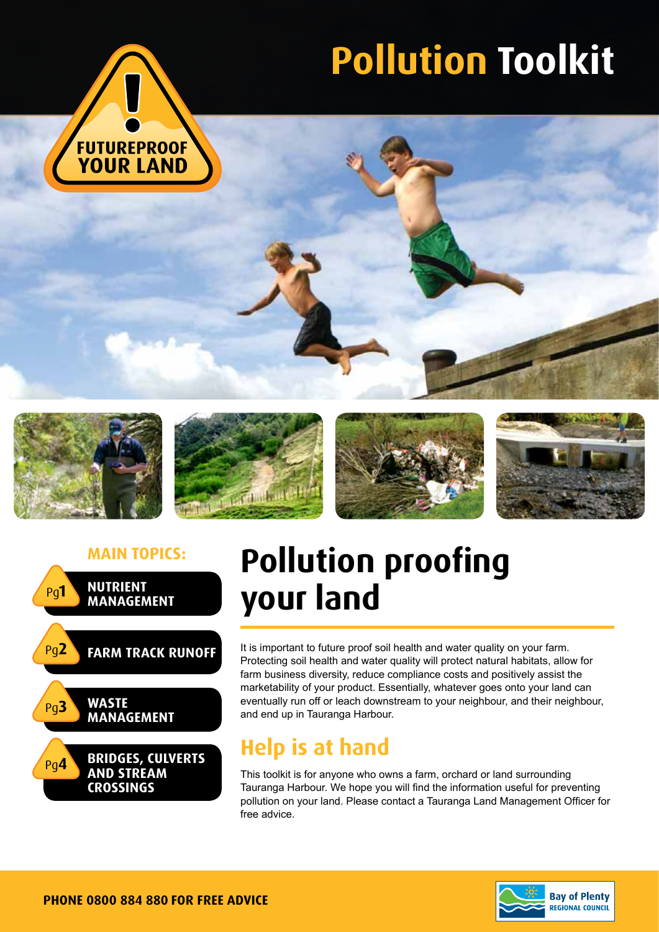

# **Pollution Toolkit**











## **Main topics: Pollution proofing your land**

It is important to future proof soil health and water quality on your farm. Protecting soil health and water quality will protect natural habitats, allow for farm business diversity, reduce compliance costs and positively assist the marketability of your product. Essentially, whatever goes onto your land can eventually run off or leach downstream to your neighbour, and their neighbour, and end up in Tauranga Harbour.

### **Help is at hand**

This toolkit is for anyone who owns a farm, orchard or land surrounding Tauranga Harbour. We hope you will find the information useful for preventing pollution on your land. Please contact a Tauranga Land Management Officer for free advice.

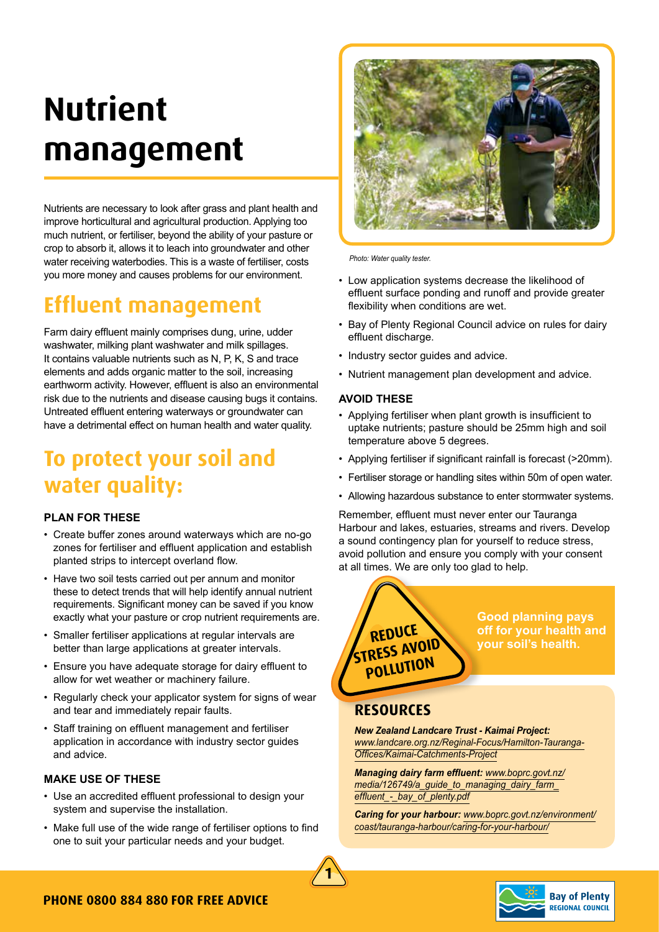## **Nutrient management**

Nutrients are necessary to look after grass and plant health and improve horticultural and agricultural production. Applying too much nutrient, or fertiliser, beyond the ability of your pasture or crop to absorb it, allows it to leach into groundwater and other water receiving waterbodies. This is a waste of fertiliser, costs you more money and causes problems for our environment.

### **Effluent management**

Farm dairy effluent mainly comprises dung, urine, udder washwater, milking plant washwater and milk spillages. It contains valuable nutrients such as N, P, K, S and trace elements and adds organic matter to the soil, increasing earthworm activity. However, effluent is also an environmental risk due to the nutrients and disease causing bugs it contains. Untreated effluent entering waterways or groundwater can have a detrimental effect on human health and water quality.

### **To protect your soil and water quality:**

#### **PLAN FOR THESE**

- Create buffer zones around waterways which are no-go zones for fertiliser and effluent application and establish planted strips to intercept overland flow.
- Have two soil tests carried out per annum and monitor these to detect trends that will help identify annual nutrient requirements. Significant money can be saved if you know exactly what your pasture or crop nutrient requirements are.
- Smaller fertiliser applications at regular intervals are better than large applications at greater intervals.
- Ensure you have adequate storage for dairy effluent to allow for wet weather or machinery failure.
- Regularly check your applicator system for signs of wear and tear and immediately repair faults.
- Staff training on effluent management and fertiliser application in accordance with industry sector guides and advice.

#### **MAKE USE OF THESE**

- Use an accredited effluent professional to design your system and supervise the installation.
- Make full use of the wide range of fertiliser options to find one to suit your particular needs and your budget.



*Photo: Water quality tester.*

- Low application systems decrease the likelihood of effluent surface ponding and runoff and provide greater flexibility when conditions are wet.
- Bay of Plenty Regional Council advice on rules for dairy effluent discharge.
- Industry sector guides and advice.
- Nutrient management plan development and advice.

#### **AVOID THESE**

- Applying fertiliser when plant growth is insufficient to uptake nutrients; pasture should be 25mm high and soil temperature above 5 degrees.
- Applying fertiliser if significant rainfall is forecast (>20mm).
- Fertiliser storage or handling sites within 50m of open water.
- Allowing hazardous substance to enter stormwater systems.

Remember, effluent must never enter our Tauranga Harbour and lakes, estuaries, streams and rivers. Develop a sound contingency plan for yourself to reduce stress, avoid pollution and ensure you comply with your consent at all times. We are only too glad to help.



### **Resources**

*New Zealand Landcare Trust - Kaimai Project: www.landcare.org.nz/Reginal-Focus/Hamilton-Tauranga-Offices/Kaimai-Catchments-Project*

*Managing dairy farm effluent: www.boprc.govt.nz/ media/126749/a\_guide\_to\_managing\_dairy\_farm\_ effluent\_-\_bay\_of\_plenty.pdf*

*Caring for your harbour: www.boprc.govt.nz/environment/ coast/tauranga-harbour/caring-for-your-harbour/*



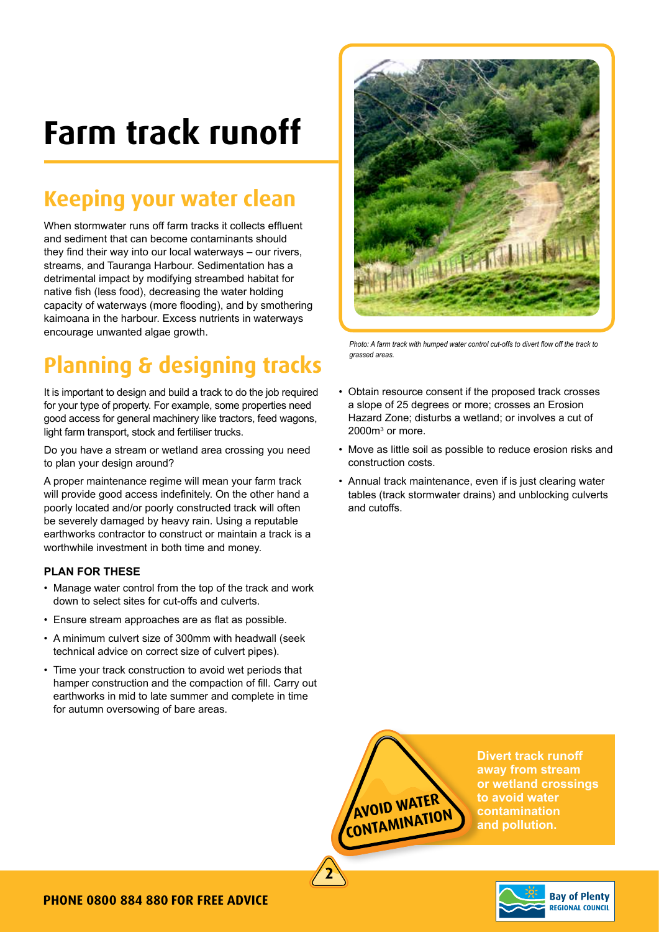## **Farm track runoff**

### **Keeping your water clean**

When stormwater runs off farm tracks it collects effluent and sediment that can become contaminants should they find their way into our local waterways – our rivers, streams, and Tauranga Harbour. Sedimentation has a detrimental impact by modifying streambed habitat for native fish (less food), decreasing the water holding capacity of waterways (more flooding), and by smothering kaimoana in the harbour. Excess nutrients in waterways encourage unwanted algae growth.

### **Planning & designing tracks**

It is important to design and build a track to do the job required for your type of property. For example, some properties need good access for general machinery like tractors, feed wagons, light farm transport, stock and fertiliser trucks.

Do you have a stream or wetland area crossing you need to plan your design around?

A proper maintenance regime will mean your farm track will provide good access indefinitely. On the other hand a poorly located and/or poorly constructed track will often be severely damaged by heavy rain. Using a reputable earthworks contractor to construct or maintain a track is a worthwhile investment in both time and money.

#### **PLAN FOR THESE**

- Manage water control from the top of the track and work down to select sites for cut-offs and culverts.
- Ensure stream approaches are as flat as possible.
- A minimum culvert size of 300mm with headwall (seek technical advice on correct size of culvert pipes).
- Time your track construction to avoid wet periods that hamper construction and the compaction of fill. Carry out earthworks in mid to late summer and complete in time for autumn oversowing of bare areas.



*Photo: A farm track with humped water control cut-offs to divert flow off the track to grassed areas.*

- Obtain resource consent if the proposed track crosses a slope of 25 degrees or more; crosses an Erosion Hazard Zone; disturbs a wetland; or involves a cut of  $2000m<sup>3</sup>$  or more.
- Move as little soil as possible to reduce erosion risks and construction costs.
- Annual track maintenance, even if is just clearing water tables (track stormwater drains) and unblocking culverts and cutoffs.

**avoid water contamination**

**2**

**Divert track runoff away from stream or wetland crossings to avoid water contamination and pollution.**

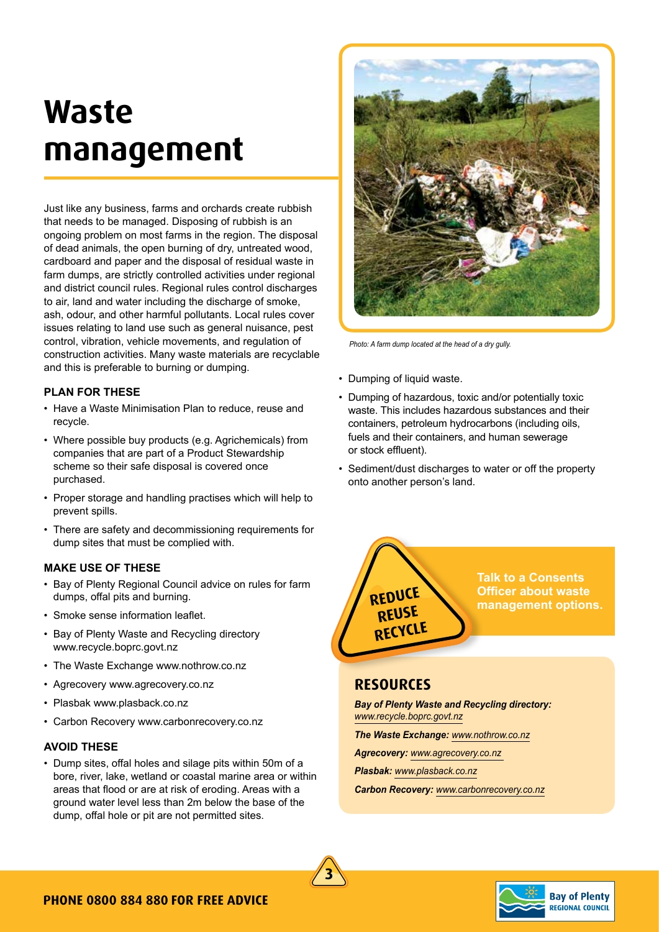## **Waste management**

Just like any business, farms and orchards create rubbish that needs to be managed. Disposing of rubbish is an ongoing problem on most farms in the region. The disposal of dead animals, the open burning of dry, untreated wood, cardboard and paper and the disposal of residual waste in farm dumps, are strictly controlled activities under regional and district council rules. Regional rules control discharges to air, land and water including the discharge of smoke, ash, odour, and other harmful pollutants. Local rules cover issues relating to land use such as general nuisance, pest control, vibration, vehicle movements, and regulation of construction activities. Many waste materials are recyclable and this is preferable to burning or dumping.

#### **PLAN FOR THESE**

- Have a Waste Minimisation Plan to reduce, reuse and recycle.
- Where possible buy products (e.g. Agrichemicals) from companies that are part of a Product Stewardship scheme so their safe disposal is covered once purchased.
- Proper storage and handling practises which will help to prevent spills.
- There are safety and decommissioning requirements for dump sites that must be complied with.

#### **MAKE USE OF THESE**

- Bay of Plenty Regional Council advice on rules for farm dumps, offal pits and burning.
- Smoke sense information leaflet.
- Bay of Plenty Waste and Recycling directory www.recycle.boprc.govt.nz
- The Waste Exchange www.nothrow.co.nz
- Agrecovery www.agrecovery.co.nz
- Plasbak www.plasback.co.nz
- Carbon Recovery www.carbonrecovery.co.nz

#### **AVOID THESE**

• Dump sites, offal holes and silage pits within 50m of a bore, river, lake, wetland or coastal marine area or within areas that flood or are at risk of eroding. Areas with a ground water level less than 2m below the base of the dump, offal hole or pit are not permitted sites.



*Photo: A farm dump located at the head of a dry gully.*

- Dumping of liquid waste.
- Dumping of hazardous, toxic and/or potentially toxic waste. This includes hazardous substances and their containers, petroleum hydrocarbons (including oils, fuels and their containers, and human sewerage or stock effluent).
- Sediment/dust discharges to water or off the property onto another person's land.



**Talk to a Consents Officer about waste management options.**

#### **Resources**

*Bay of Plenty Waste and Recycling directory: www.recycle.boprc.govt.nz*

*The Waste Exchange: www.nothrow.co.nz*

*Agrecovery: www.agrecovery.co.nz* 

*Plasbak: www.plasback.co.nz*

*Carbon Recovery: www.carbonrecovery.co.nz*



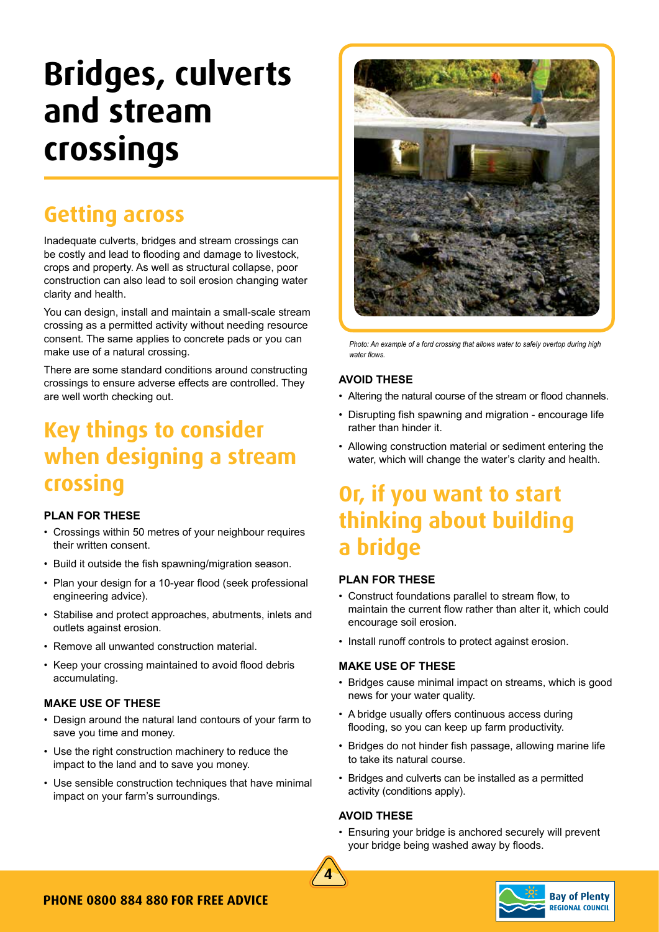## **Bridges, culverts and stream crossings**

### **Getting across**

Inadequate culverts, bridges and stream crossings can be costly and lead to flooding and damage to livestock, crops and property. As well as structural collapse, poor construction can also lead to soil erosion changing water clarity and health.

You can design, install and maintain a small-scale stream crossing as a permitted activity without needing resource consent. The same applies to concrete pads or you can make use of a natural crossing.

There are some standard conditions around constructing crossings to ensure adverse effects are controlled. They are well worth checking out.

### **Key things to consider when designing a stream crossing**

#### **PLAN FOR THESE**

- Crossings within 50 metres of your neighbour requires their written consent.
- Build it outside the fish spawning/migration season.
- Plan your design for a 10-year flood (seek professional engineering advice).
- Stabilise and protect approaches, abutments, inlets and outlets against erosion.
- Remove all unwanted construction material.
- Keep your crossing maintained to avoid flood debris accumulating.

#### **MAKE USE OF THESE**

- Design around the natural land contours of your farm to save you time and money.
- Use the right construction machinery to reduce the impact to the land and to save you money.
- Use sensible construction techniques that have minimal impact on your farm's surroundings.



*Photo: An example of a ford crossing that allows water to safely overtop during high water flows.*

#### **AVOID THESE**

- Altering the natural course of the stream or flood channels.
- Disrupting fish spawning and migration encourage life rather than hinder it.
- Allowing construction material or sediment entering the water, which will change the water's clarity and health.

### **Or, if you want to start thinking about building a bridge**

#### **PLAN FOR THESE**

- Construct foundations parallel to stream flow, to maintain the current flow rather than alter it, which could encourage soil erosion.
- Install runoff controls to protect against erosion.

#### **MAKE USE OF THESE**

- Bridges cause minimal impact on streams, which is good news for your water quality.
- A bridge usually offers continuous access during flooding, so you can keep up farm productivity.
- Bridges do not hinder fish passage, allowing marine life to take its natural course.
- Bridges and culverts can be installed as a permitted activity (conditions apply).

#### **AVOID THESE**

• Ensuring your bridge is anchored securely will prevent your bridge being washed away by floods.



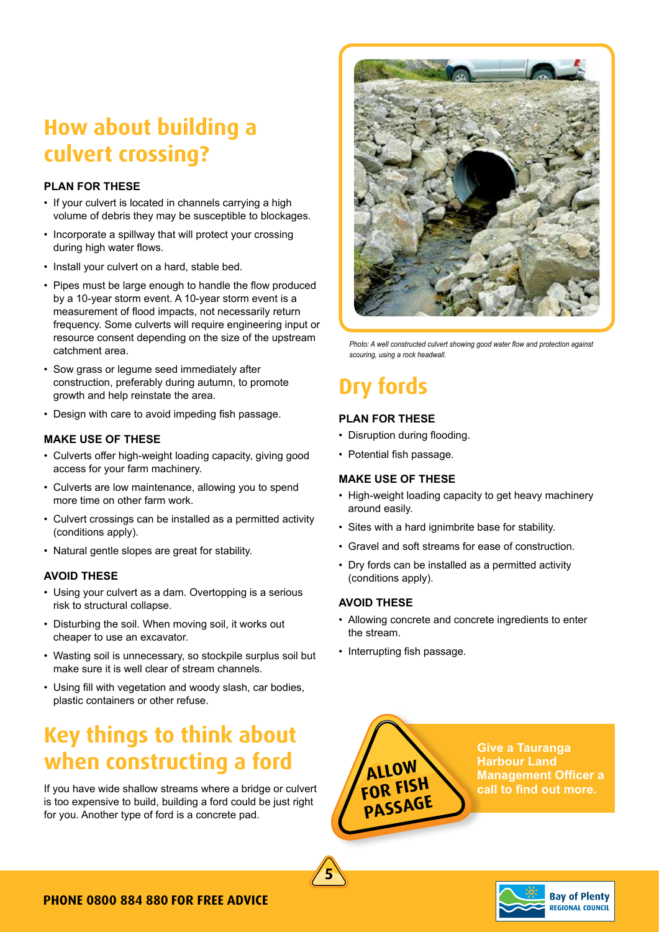### **How about building a culvert crossing?**

#### **PLAN FOR THESE**

- If your culvert is located in channels carrying a high volume of debris they may be susceptible to blockages.
- Incorporate a spillway that will protect your crossing during high water flows.
- Install your culvert on a hard, stable bed.
- Pipes must be large enough to handle the flow produced by a 10-year storm event. A 10-year storm event is a measurement of flood impacts, not necessarily return frequency. Some culverts will require engineering input or resource consent depending on the size of the upstream catchment area.
- Sow grass or legume seed immediately after construction, preferably during autumn, to promote growth and help reinstate the area.
- Design with care to avoid impeding fish passage.

#### **MAKE USE OF THESE**

- Culverts offer high-weight loading capacity, giving good access for your farm machinery.
- Culverts are low maintenance, allowing you to spend more time on other farm work.
- Culvert crossings can be installed as a permitted activity (conditions apply).
- Natural gentle slopes are great for stability.

#### **AVOID THESE**

- Using your culvert as a dam. Overtopping is a serious risk to structural collapse.
- Disturbing the soil. When moving soil, it works out cheaper to use an excavator.
- Wasting soil is unnecessary, so stockpile surplus soil but make sure it is well clear of stream channels.
- Using fill with vegetation and woody slash, car bodies, plastic containers or other refuse.

### **Key things to think about when constructing a ford**

If you have wide shallow streams where a bridge or culvert is too expensive to build, building a ford could be just right for you. Another type of ford is a concrete pad.



*Photo: A well constructed culvert showing good water flow and protection against scouring, using a rock headwall.*

## **Dry fords**

#### **PLAN FOR THESE**

- Disruption during flooding.
- Potential fish passage.

#### **MAKE USE OF THESE**

- High-weight loading capacity to get heavy machinery around easily.
- Sites with a hard ignimbrite base for stability.
- Gravel and soft streams for ease of construction.
- Dry fords can be installed as a permitted activity (conditions apply).

#### **AVOID THESE**

**5**

- Allowing concrete and concrete ingredients to enter the stream.
- Interrupting fish passage.

**ALLOW FOR FISH PASSAGE** **Give a Tauranga Harbour Land Management Officer a call to find out more.**

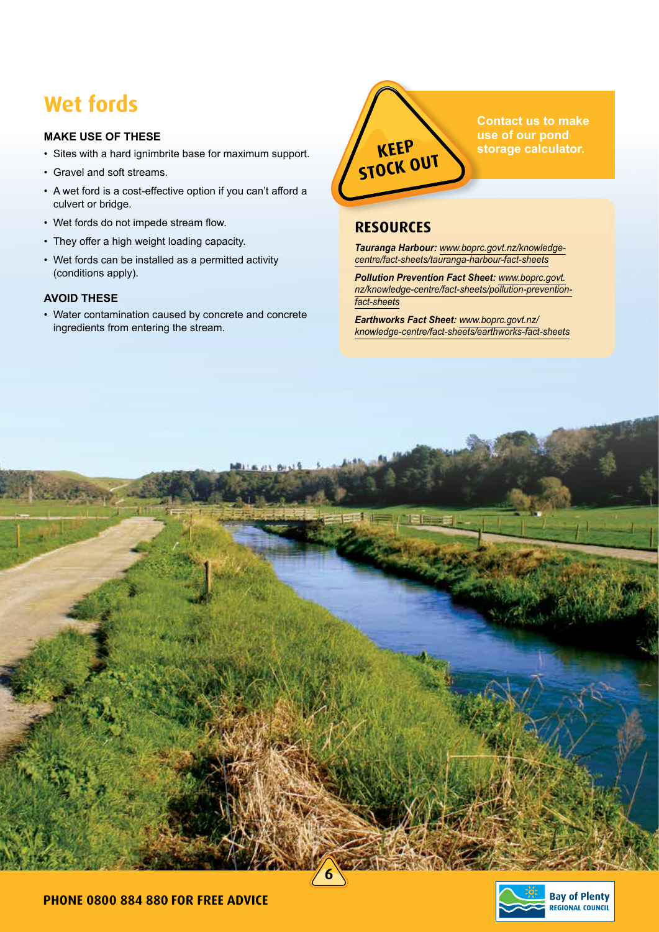### **Wet fords**

#### **MAKE USE OF THESE**

- Sites with a hard ignimbrite base for maximum support.
- Gravel and soft streams.
- A wet ford is a cost-effective option if you can't afford a culvert or bridge.
- Wet fords do not impede stream flow.
- They offer a high weight loading capacity.
- Wet fords can be installed as a permitted activity (conditions apply).

#### **AVOID THESE**

• Water contamination caused by concrete and concrete ingredients from entering the stream.



**Contact us to make use of our pond storage calculator.**

#### **Resources**

*Tauranga Harbour: www.boprc.govt.nz/knowledgecentre/fact-sheets/tauranga-harbour-fact-sheets*

*Pollution Prevention Fact Sheet: www.boprc.govt. nz/knowledge-centre/fact-sheets/pollution-preventionfact-sheets*

*Earthworks Fact Sheet: www.boprc.govt.nz/ knowledge-centre/fact-sheets/earthworks-fact-sheets*